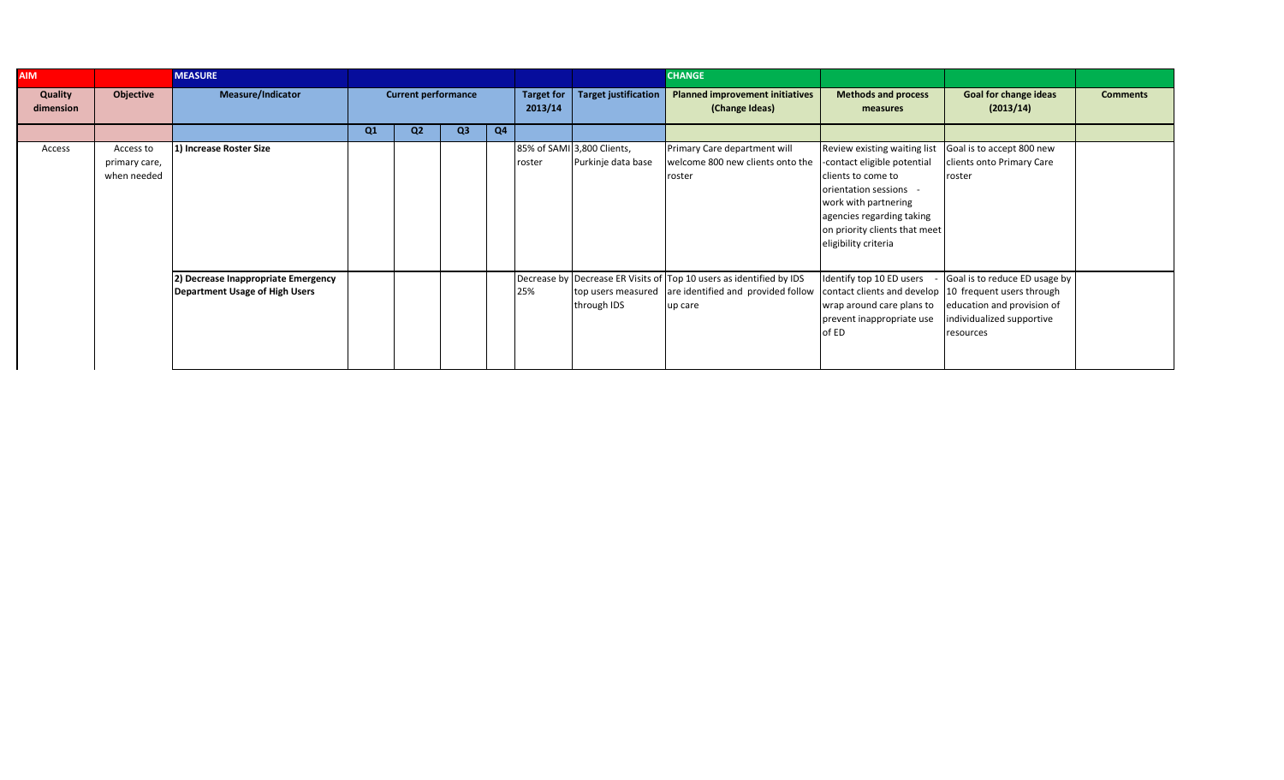| <b>AIM</b>           |                                           | <b>MEASURE</b>                                                        |    |                            |                |                |                              |                                                  | <b>CHANGE</b>                                                                                                        |                                                                                                                                                                                                                          |                                                                                                      |                 |
|----------------------|-------------------------------------------|-----------------------------------------------------------------------|----|----------------------------|----------------|----------------|------------------------------|--------------------------------------------------|----------------------------------------------------------------------------------------------------------------------|--------------------------------------------------------------------------------------------------------------------------------------------------------------------------------------------------------------------------|------------------------------------------------------------------------------------------------------|-----------------|
| Quality<br>dimension | Objective                                 | <b>Measure/Indicator</b>                                              |    | <b>Current performance</b> |                |                | <b>Target for</b><br>2013/14 | <b>Target justification</b>                      | <b>Planned improvement initiatives</b><br>(Change Ideas)                                                             | <b>Methods and process</b><br>measures                                                                                                                                                                                   | <b>Goal for change ideas</b><br>(2013/14)                                                            | <b>Comments</b> |
|                      |                                           |                                                                       | Q1 | Q <sub>2</sub>             | Q <sub>3</sub> | Q <sub>4</sub> |                              |                                                  |                                                                                                                      |                                                                                                                                                                                                                          |                                                                                                      |                 |
| Access               | Access to<br>primary care,<br>when needed | 1) Increase Roster Size                                               |    |                            |                |                | roster                       | 85% of SAMI 3,800 Clients,<br>Purkinje data base | Primary Care department will<br>welcome 800 new clients onto the<br>roster                                           | Review existing waiting list<br>contact eligible potential<br>clients to come to<br>orientation sessions -<br>work with partnering<br>agencies regarding taking<br>on priority clients that meet<br>eligibility criteria | Goal is to accept 800 new<br>clients onto Primary Care<br>roster                                     |                 |
|                      |                                           | 2) Decrease Inappropriate Emergency<br>Department Usage of High Users |    |                            |                |                | 25%                          | top users measured<br>through IDS                | Decrease by Decrease ER Visits of Top 10 users as identified by IDS<br>are identified and provided follow<br>up care | Identify top 10 ED users<br>contact clients and develop 10 frequent users through<br>wrap around care plans to<br>prevent inappropriate use<br>of ED                                                                     | Goal is to reduce ED usage by<br>education and provision of<br>ndividualized supportive<br>resources |                 |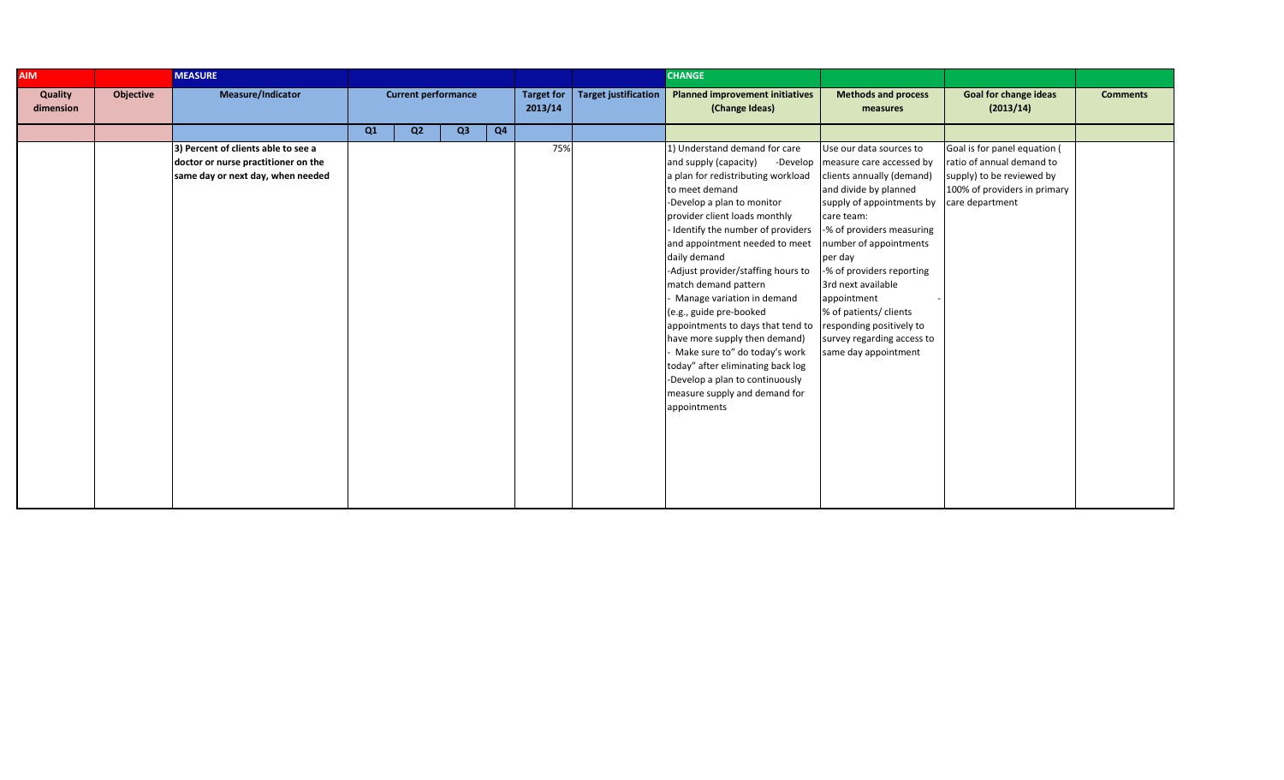| <b>AIM</b>           |           |                                                                                                                 |    |                            |    |    |                              | <b>CHANGE</b>               |                                                                                                                                                                                                                                                                                                                                                                                                                                                                                                                                                                                                                                          |                                                                                                                                                                                                                                                                                                                                                                                                      |                                                                                                                                           |                 |
|----------------------|-----------|-----------------------------------------------------------------------------------------------------------------|----|----------------------------|----|----|------------------------------|-----------------------------|------------------------------------------------------------------------------------------------------------------------------------------------------------------------------------------------------------------------------------------------------------------------------------------------------------------------------------------------------------------------------------------------------------------------------------------------------------------------------------------------------------------------------------------------------------------------------------------------------------------------------------------|------------------------------------------------------------------------------------------------------------------------------------------------------------------------------------------------------------------------------------------------------------------------------------------------------------------------------------------------------------------------------------------------------|-------------------------------------------------------------------------------------------------------------------------------------------|-----------------|
| Quality<br>dimension | Objective | Measure/Indicator                                                                                               |    | <b>Current performance</b> |    |    | <b>Target for</b><br>2013/14 | <b>Target justification</b> | <b>Planned improvement initiatives</b><br>(Change Ideas)                                                                                                                                                                                                                                                                                                                                                                                                                                                                                                                                                                                 | <b>Methods and process</b><br>measures                                                                                                                                                                                                                                                                                                                                                               | <b>Goal for change ideas</b><br>(2013/14)                                                                                                 | <b>Comments</b> |
|                      |           |                                                                                                                 | Q1 | Q2                         | Q3 | Q4 |                              |                             |                                                                                                                                                                                                                                                                                                                                                                                                                                                                                                                                                                                                                                          |                                                                                                                                                                                                                                                                                                                                                                                                      |                                                                                                                                           |                 |
|                      |           | 3) Percent of clients able to see a<br>doctor or nurse practitioner on the<br>same day or next day, when needed |    |                            |    |    | 75%                          |                             | 1) Understand demand for care<br>and supply (capacity)<br>-Develop<br>a plan for redistributing workload<br>to meet demand<br>-Develop a plan to monitor<br>provider client loads monthly<br>- Identify the number of providers<br>and appointment needed to meet<br>daily demand<br>-Adjust provider/staffing hours to<br>match demand pattern<br>Manage variation in demand<br>(e.g., guide pre-booked<br>appointments to days that tend to<br>have more supply then demand)<br>Make sure to" do today's work<br>today" after eliminating back log<br>-Develop a plan to continuously<br>measure supply and demand for<br>appointments | Use our data sources to<br>measure care accessed by<br>clients annually (demand)<br>and divide by planned<br>supply of appointments by<br>care team:<br>-% of providers measuring<br>number of appointments<br>per day<br>-% of providers reporting<br>3rd next available<br>appointment<br>% of patients/ clients<br>responding positively to<br>survey regarding access to<br>same day appointment | Goal is for panel equation (<br>ratio of annual demand to<br>supply) to be reviewed by<br>100% of providers in primary<br>care department |                 |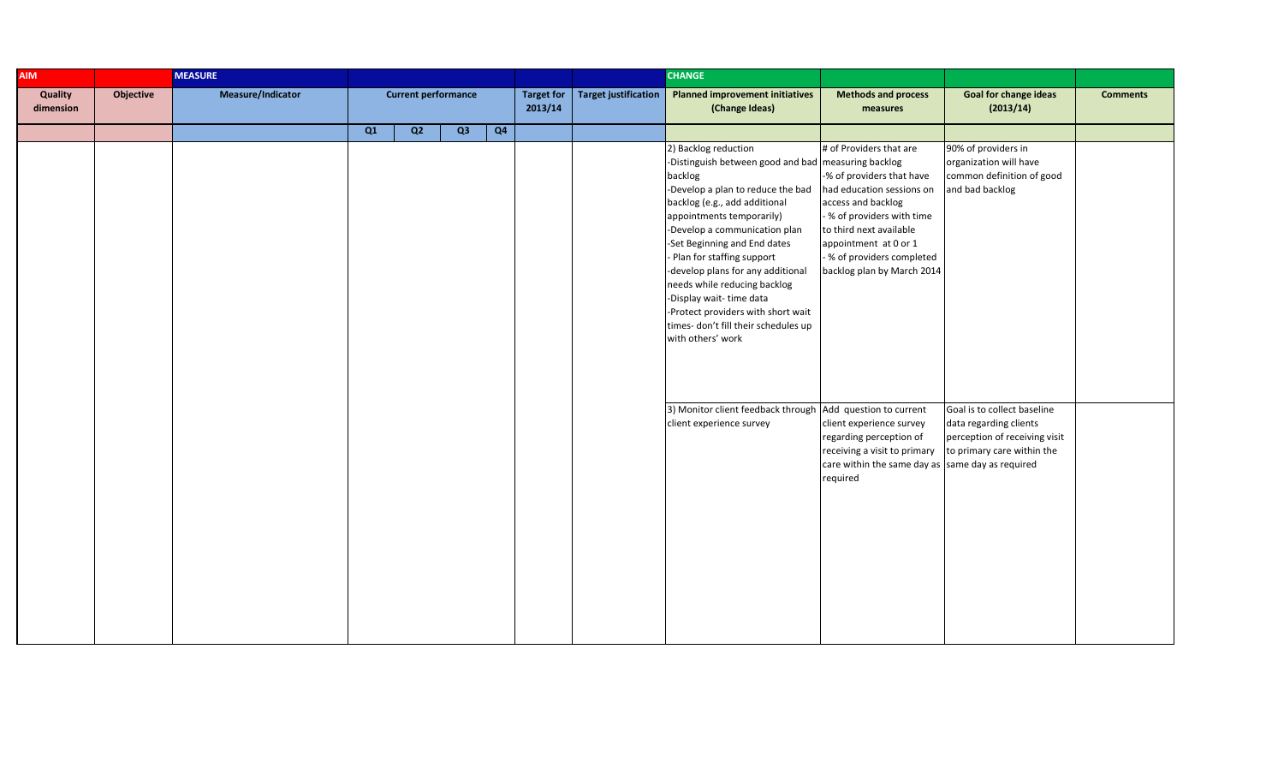| <b>AIM</b>                  |           | <b>MEASURE</b>    |    |                            |    |    |                              |                             | <b>CHANGE</b>                                                                                                                                                                                                                                                                                                                                                                                                                                                                                |                                                                                                                                                                                                                                                       |                                                                                                                      |                 |
|-----------------------------|-----------|-------------------|----|----------------------------|----|----|------------------------------|-----------------------------|----------------------------------------------------------------------------------------------------------------------------------------------------------------------------------------------------------------------------------------------------------------------------------------------------------------------------------------------------------------------------------------------------------------------------------------------------------------------------------------------|-------------------------------------------------------------------------------------------------------------------------------------------------------------------------------------------------------------------------------------------------------|----------------------------------------------------------------------------------------------------------------------|-----------------|
| <b>Quality</b><br>dimension | Objective | Measure/Indicator |    | <b>Current performance</b> |    |    | <b>Target for</b><br>2013/14 | <b>Target justification</b> | <b>Planned improvement initiatives</b><br>(Change Ideas)                                                                                                                                                                                                                                                                                                                                                                                                                                     | <b>Methods and process</b><br>measures                                                                                                                                                                                                                | <b>Goal for change ideas</b><br>(2013/14)                                                                            | <b>Comments</b> |
|                             |           |                   | Q1 | Q2                         | Q3 | Q4 |                              |                             |                                                                                                                                                                                                                                                                                                                                                                                                                                                                                              |                                                                                                                                                                                                                                                       |                                                                                                                      |                 |
|                             |           |                   |    |                            |    |    |                              |                             | 2) Backlog reduction<br>-Distinguish between good and bad measuring backlog<br>backlog<br>-Develop a plan to reduce the bad<br>backlog (e.g., add additional<br>appointments temporarily)<br>-Develop a communication plan<br>-Set Beginning and End dates<br>- Plan for staffing support<br>-develop plans for any additional<br>needs while reducing backlog<br>-Display wait-time data<br>-Protect providers with short wait<br>times- don't fill their schedules up<br>with others' work | # of Providers that are<br>-% of providers that have<br>had education sessions on<br>access and backlog<br>- % of providers with time<br>to third next available<br>appointment at 0 or 1<br>- % of providers completed<br>backlog plan by March 2014 | 90% of providers in<br>organization will have<br>common definition of good<br>and bad backlog                        |                 |
|                             |           |                   |    |                            |    |    |                              |                             | 3) Monitor client feedback through Add question to current<br>client experience survey                                                                                                                                                                                                                                                                                                                                                                                                       | client experience survey<br>regarding perception of<br>receiving a visit to primary<br>care within the same day as same day as required<br>required                                                                                                   | Goal is to collect baseline<br>data regarding clients<br>perception of receiving visit<br>to primary care within the |                 |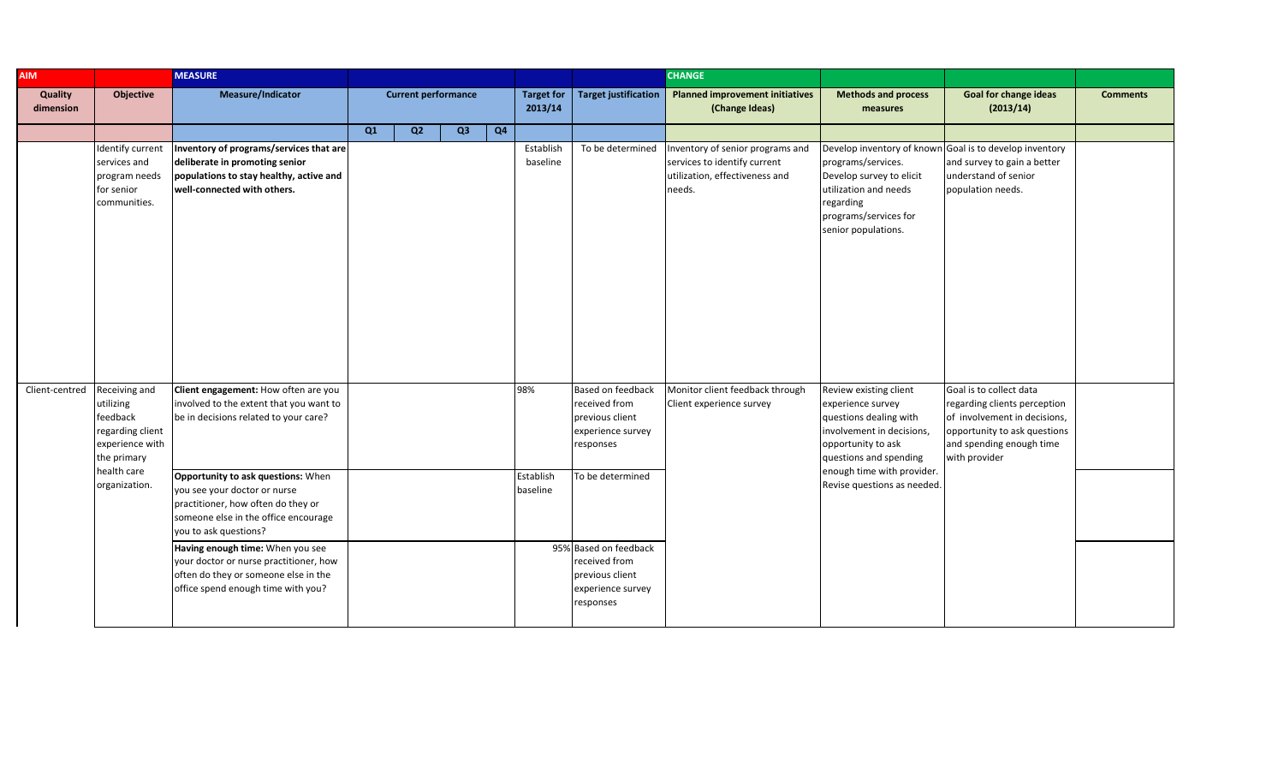| <b>AIM</b>           |                                                                                                             | <b>MEASURE</b>                                                                                                                                                 |    |                            |    |                |                              |                                                                                                            | <b>CHANGE</b>                                                                                                |                                                                                                                                                                                  |                                                                                                                                                                      |                 |
|----------------------|-------------------------------------------------------------------------------------------------------------|----------------------------------------------------------------------------------------------------------------------------------------------------------------|----|----------------------------|----|----------------|------------------------------|------------------------------------------------------------------------------------------------------------|--------------------------------------------------------------------------------------------------------------|----------------------------------------------------------------------------------------------------------------------------------------------------------------------------------|----------------------------------------------------------------------------------------------------------------------------------------------------------------------|-----------------|
| Quality<br>dimension | Objective                                                                                                   | Measure/Indicator                                                                                                                                              |    | <b>Current performance</b> |    |                | <b>Target for</b><br>2013/14 | <b>Target justification</b>                                                                                | <b>Planned improvement initiatives</b><br>(Change Ideas)                                                     | <b>Methods and process</b><br>measures                                                                                                                                           | <b>Goal for change ideas</b><br>(2013/14)                                                                                                                            | <b>Comments</b> |
|                      |                                                                                                             |                                                                                                                                                                | Q1 | Q <sub>2</sub>             | Q3 | Q <sub>4</sub> |                              |                                                                                                            |                                                                                                              |                                                                                                                                                                                  |                                                                                                                                                                      |                 |
|                      | Identify current<br>services and<br>program needs<br>for senior<br>communities.                             | Inventory of programs/services that are<br>deliberate in promoting senior<br>populations to stay healthy, active and<br>well-connected with others.            |    |                            |    |                | Establish<br>baseline        | To be determined                                                                                           | Inventory of senior programs and<br>services to identify current<br>utilization, effectiveness and<br>needs. | programs/services.<br>Develop survey to elicit<br>utilization and needs<br>regarding<br>programs/services for<br>senior populations.                                             | Develop inventory of known Goal is to develop inventory<br>and survey to gain a better<br>understand of senior<br>population needs.                                  |                 |
| Client-centred       | Receiving and<br>utilizing<br>feedback<br>regarding client<br>experience with<br>the primary<br>health care | Client engagement: How often are you<br>involved to the extent that you want to<br>be in decisions related to your care?<br>Opportunity to ask questions: When |    |                            |    |                | 98%<br>Establish             | Based on feedback<br>received from<br>previous client<br>experience survey<br>esponses<br>To be determined | Monitor client feedback through<br>Client experience survey                                                  | Review existing client<br>experience survey<br>questions dealing with<br>involvement in decisions,<br>opportunity to ask<br>questions and spending<br>enough time with provider. | Goal is to collect data<br>regarding clients perception<br>of involvement in decisions,<br>opportunity to ask questions<br>and spending enough time<br>with provider |                 |
|                      | organization.                                                                                               | you see your doctor or nurse<br>practitioner, how often do they or<br>someone else in the office encourage<br>you to ask questions?                            |    |                            |    |                | baseline                     |                                                                                                            |                                                                                                              | Revise questions as needed.                                                                                                                                                      |                                                                                                                                                                      |                 |
|                      |                                                                                                             | Having enough time: When you see<br>your doctor or nurse practitioner, how<br>often do they or someone else in the<br>office spend enough time with you?       |    |                            |    |                |                              | 95% Based on feedback<br>received from<br>previous client<br>experience survey<br>esponses                 |                                                                                                              |                                                                                                                                                                                  |                                                                                                                                                                      |                 |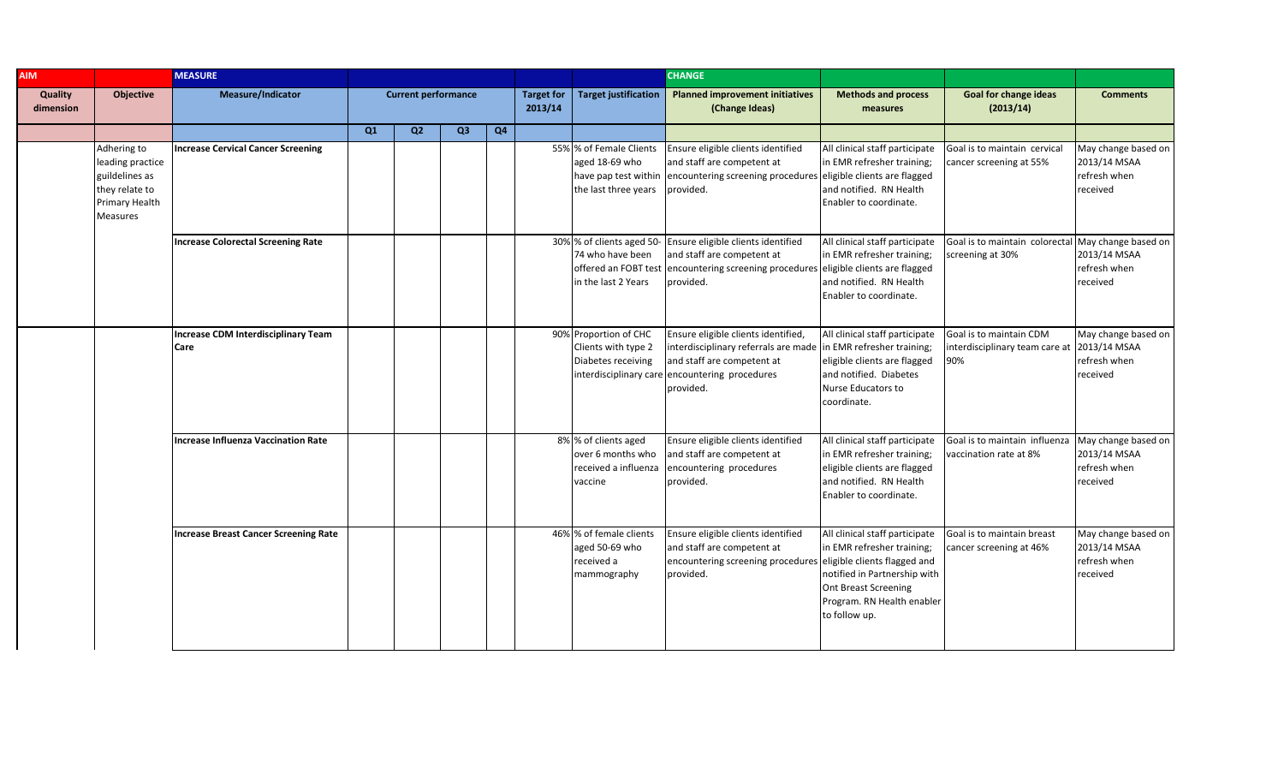| <b>AIM</b>           | <b>MEASURE</b>                                                                                    |                                              |    |                            |                |    |                              |                                                                                              | <b>CHANGE</b>                                                                                                                                                                                       |                                                                                                                                                                            |                                                                               |                                                                 |
|----------------------|---------------------------------------------------------------------------------------------------|----------------------------------------------|----|----------------------------|----------------|----|------------------------------|----------------------------------------------------------------------------------------------|-----------------------------------------------------------------------------------------------------------------------------------------------------------------------------------------------------|----------------------------------------------------------------------------------------------------------------------------------------------------------------------------|-------------------------------------------------------------------------------|-----------------------------------------------------------------|
| Quality<br>dimension | <b>Objective</b>                                                                                  | <b>Measure/Indicator</b>                     |    | <b>Current performance</b> |                |    | <b>Target for</b><br>2013/14 | <b>Target justification</b>                                                                  | <b>Planned improvement initiatives</b><br>(Change Ideas)                                                                                                                                            | <b>Methods and process</b><br>measures                                                                                                                                     | <b>Goal for change ideas</b><br>(2013/14)                                     | <b>Comments</b>                                                 |
|                      |                                                                                                   |                                              | Q1 | Q <sub>2</sub>             | Q <sub>3</sub> | Q4 |                              |                                                                                              |                                                                                                                                                                                                     |                                                                                                                                                                            |                                                                               |                                                                 |
|                      | Adhering to<br>leading practice<br>guildelines as<br>they relate to<br>Primary Health<br>Measures | <b>Increase Cervical Cancer Screening</b>    |    |                            |                |    |                              | 55% % of Female Clients<br>aged 18-69 who<br>have pap test within<br>the last three years    | Ensure eligible clients identified<br>and staff are competent at<br>encountering screening procedures eligible clients are flagged<br>provided.                                                     | All clinical staff participate<br>in EMR refresher training;<br>and notified. RN Health<br>Enabler to coordinate.                                                          | Goal is to maintain cervical<br>cancer screening at 55%                       | May change based on<br>2013/14 MSAA<br>refresh when<br>received |
|                      |                                                                                                   | <b>Increase Colorectal Screening Rate</b>    |    |                            |                |    |                              | 30% % of clients aged 50-<br>74 who have been<br>offered an FOBT test<br>in the last 2 Years | Ensure eligible clients identified<br>and staff are competent at<br>encountering screening procedures eligible clients are flagged<br>provided.                                                     | All clinical staff participate<br>in EMR refresher training;<br>and notified. RN Health<br>Enabler to coordinate.                                                          | Goal is to maintain colorectal<br>screening at 30%                            | May change based on<br>2013/14 MSAA<br>refresh when<br>received |
|                      |                                                                                                   | Increase CDM Interdisciplinary Team<br>Care  |    |                            |                |    |                              | 90% Proportion of CHC<br>Clients with type 2<br>Diabetes receiving                           | Ensure eligible clients identified,<br>interdisciplinary referrals are made in EMR refresher training;<br>and staff are competent at<br>interdisciplinary care encountering procedures<br>provided. | All clinical staff participate<br>eligible clients are flagged<br>and notified. Diabetes<br>Nurse Educators to<br>coordinate.                                              | Goal is to maintain CDM<br>interdisciplinary team care at 2013/14 MSAA<br>90% | May change based on<br>refresh when<br>received                 |
|                      |                                                                                                   | <b>Increase Influenza Vaccination Rate</b>   |    |                            |                |    |                              | 8% % of clients aged<br>over 6 months who<br>received a influenza<br>vaccine                 | Ensure eligible clients identified<br>and staff are competent at<br>encountering procedures<br>provided.                                                                                            | All clinical staff participate<br>in EMR refresher training;<br>eligible clients are flagged<br>and notified. RN Health<br>Enabler to coordinate.                          | Goal is to maintain influenza<br>vaccination rate at 8%                       | May change based on<br>2013/14 MSAA<br>refresh when<br>received |
|                      |                                                                                                   | <b>Increase Breast Cancer Screening Rate</b> |    |                            |                |    |                              | 46% % of female clients<br>aged 50-69 who<br>received a<br>mammography                       | Ensure eligible clients identified<br>and staff are competent at<br>encountering screening procedures eligible clients flagged and<br>provided.                                                     | All clinical staff participate<br>in EMR refresher training;<br>notified in Partnership with<br><b>Ont Breast Screening</b><br>Program. RN Health enabler<br>to follow up. | Goal is to maintain breast<br>cancer screening at 46%                         | May change based on<br>2013/14 MSAA<br>refresh when<br>received |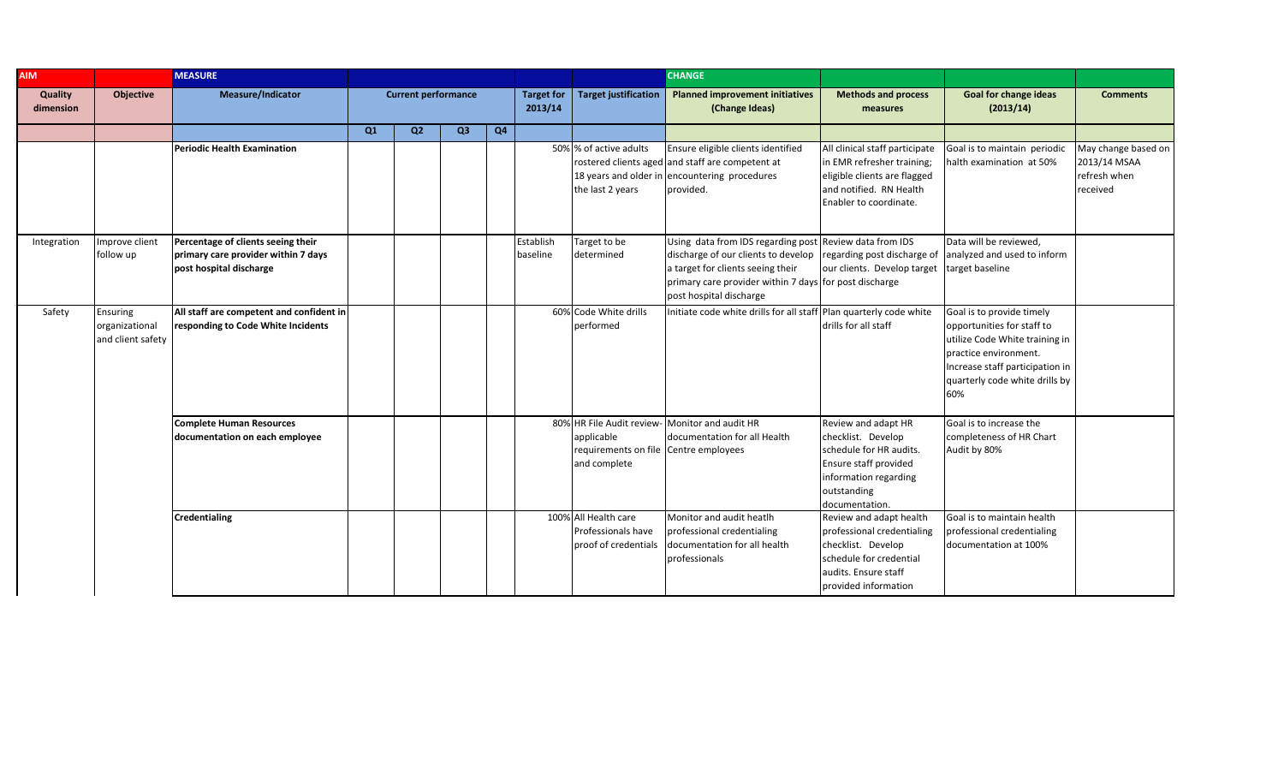| <b>AIM</b>           |                                                 | <b>MEASURE</b>                                                                                       |    |                            |                |    |                              |                                                                     | <b>CHANGE</b>                                                                                                                                                                                                                                        |                                                                                                                                                         |                                                                                                                                                                                                |                                                                 |
|----------------------|-------------------------------------------------|------------------------------------------------------------------------------------------------------|----|----------------------------|----------------|----|------------------------------|---------------------------------------------------------------------|------------------------------------------------------------------------------------------------------------------------------------------------------------------------------------------------------------------------------------------------------|---------------------------------------------------------------------------------------------------------------------------------------------------------|------------------------------------------------------------------------------------------------------------------------------------------------------------------------------------------------|-----------------------------------------------------------------|
| Quality<br>dimension | Objective                                       | Measure/Indicator                                                                                    |    | <b>Current performance</b> |                |    | <b>Target for</b><br>2013/14 | <b>Target justification</b>                                         | <b>Planned improvement initiatives</b><br>(Change Ideas)                                                                                                                                                                                             | <b>Methods and process</b><br>measures                                                                                                                  | <b>Goal for change ideas</b><br>(2013/14)                                                                                                                                                      | <b>Comments</b>                                                 |
|                      |                                                 |                                                                                                      | Q1 | Q <sub>2</sub>             | Q <sub>3</sub> | Q4 |                              |                                                                     |                                                                                                                                                                                                                                                      |                                                                                                                                                         |                                                                                                                                                                                                |                                                                 |
|                      |                                                 | <b>Periodic Health Examination</b>                                                                   |    |                            |                |    |                              | 50% % of active adults<br>the last 2 years                          | Ensure eligible clients identified<br>rostered clients aged and staff are competent at<br>18 years and older in encountering procedures<br>provided.                                                                                                 | All clinical staff participate<br>in EMR refresher training;<br>eligible clients are flagged<br>and notified. RN Health<br>Enabler to coordinate.       | Goal is to maintain periodic<br>halth examination at 50%                                                                                                                                       | May change based on<br>2013/14 MSAA<br>refresh when<br>received |
| Integration          | Improve client<br>follow up                     | Percentage of clients seeing their<br>primary care provider within 7 days<br>post hospital discharge |    |                            |                |    | Establish<br>baseline        | Target to be<br>determined                                          | Using data from IDS regarding post Review data from IDS<br>discharge of our clients to develop regarding post discharge of<br>a target for clients seeing their<br>primary care provider within 7 days for post discharge<br>post hospital discharge | our clients. Develop target                                                                                                                             | Data will be reviewed.<br>analyzed and used to inform<br>target baseline                                                                                                                       |                                                                 |
| Safety               | Ensuring<br>organizational<br>and client safety | All staff are competent and confident in<br>responding to Code White Incidents                       |    |                            |                |    |                              | 60% Code White drills<br>performed                                  | Initiate code white drills for all staff Plan quarterly code white                                                                                                                                                                                   | drills for all staff                                                                                                                                    | Goal is to provide timely<br>opportunities for staff to<br>utilize Code White training in<br>practice environment.<br>Increase staff participation in<br>quarterly code white drills by<br>60% |                                                                 |
|                      |                                                 | <b>Complete Human Resources</b><br>documentation on each employee                                    |    |                            |                |    |                              | applicable<br>requirements on file Centre employees<br>and complete | 80% HR File Audit review- Monitor and audit HR<br>documentation for all Health                                                                                                                                                                       | Review and adapt HR<br>checklist. Develop<br>schedule for HR audits.<br>Ensure staff provided<br>information regarding<br>outstanding<br>documentation. | Goal is to increase the<br>completeness of HR Chart<br>Audit by 80%                                                                                                                            |                                                                 |
|                      |                                                 | <b>Credentialing</b>                                                                                 |    |                            |                |    |                              | 100% All Health care<br>Professionals have<br>proof of credentials  | Monitor and audit heatlh<br>professional credentialing<br>documentation for all health<br>professionals                                                                                                                                              | Review and adapt health<br>professional credentialing<br>checklist. Develop<br>schedule for credential<br>audits. Ensure staff<br>provided information  | Goal is to maintain health<br>professional credentialing<br>documentation at 100%                                                                                                              |                                                                 |

regarding outstanding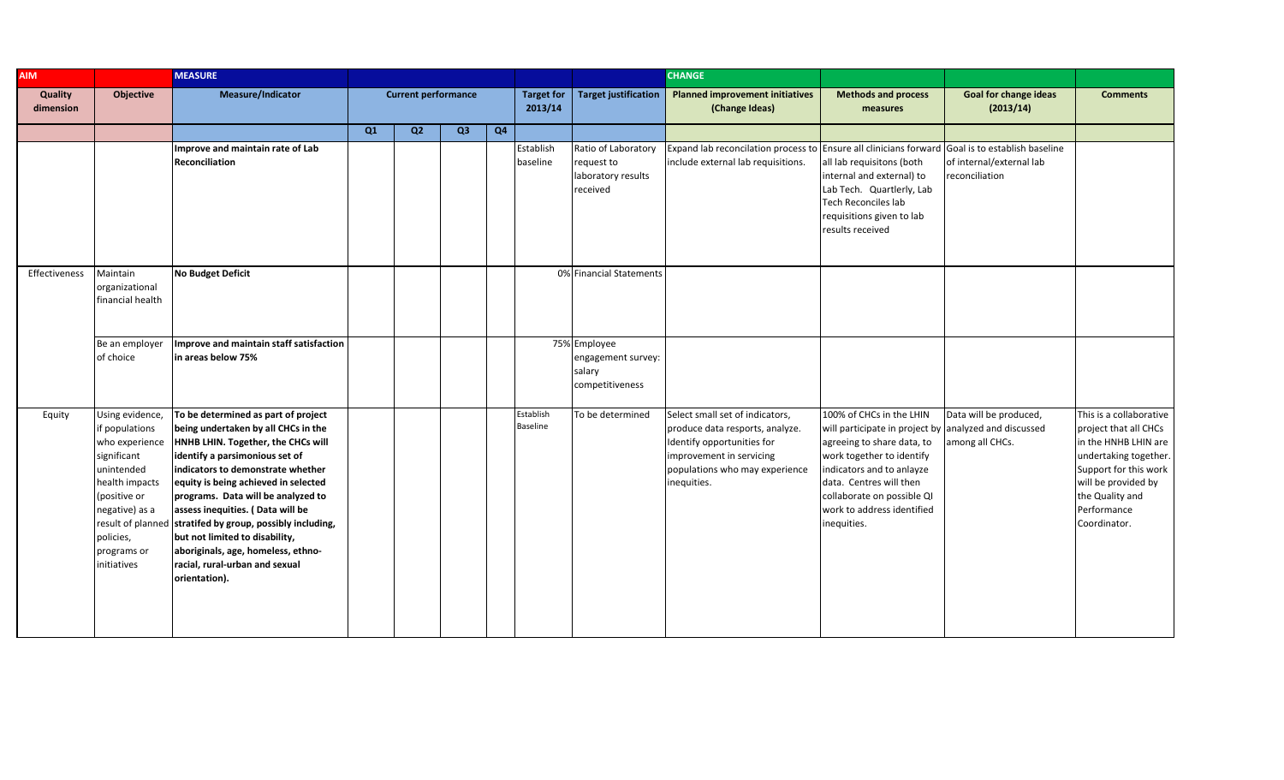| <b>AIM</b>           |                                                                                                                                                                                 | <b>MEASURE</b>                                                                                                                                                                                                                                                                                                                                                                                                                                                                                    |    |                            |                |                |                              |                                                                     | <b>CHANGE</b>                                                                                                                                                                 |                                                                                                                                                                                                                                                                                 |                                            |                                                                                                                                                                                                     |
|----------------------|---------------------------------------------------------------------------------------------------------------------------------------------------------------------------------|---------------------------------------------------------------------------------------------------------------------------------------------------------------------------------------------------------------------------------------------------------------------------------------------------------------------------------------------------------------------------------------------------------------------------------------------------------------------------------------------------|----|----------------------------|----------------|----------------|------------------------------|---------------------------------------------------------------------|-------------------------------------------------------------------------------------------------------------------------------------------------------------------------------|---------------------------------------------------------------------------------------------------------------------------------------------------------------------------------------------------------------------------------------------------------------------------------|--------------------------------------------|-----------------------------------------------------------------------------------------------------------------------------------------------------------------------------------------------------|
| Quality<br>dimension | Objective                                                                                                                                                                       | Measure/Indicator                                                                                                                                                                                                                                                                                                                                                                                                                                                                                 |    | <b>Current performance</b> |                |                | <b>Target for</b><br>2013/14 | <b>Target justification</b>                                         | <b>Planned improvement initiatives</b><br>(Change Ideas)                                                                                                                      | <b>Methods and process</b><br>measures                                                                                                                                                                                                                                          | <b>Goal for change ideas</b><br>(2013/14)  | <b>Comments</b>                                                                                                                                                                                     |
|                      |                                                                                                                                                                                 |                                                                                                                                                                                                                                                                                                                                                                                                                                                                                                   | Q1 | Q2                         | Q <sub>3</sub> | Q <sub>4</sub> |                              |                                                                     |                                                                                                                                                                               |                                                                                                                                                                                                                                                                                 |                                            |                                                                                                                                                                                                     |
|                      |                                                                                                                                                                                 | Improve and maintain rate of Lab<br>Reconciliation                                                                                                                                                                                                                                                                                                                                                                                                                                                |    |                            |                |                | Establish<br>baseline        | Ratio of Laboratory<br>request to<br>laboratory results<br>received | Expand lab reconcilation process to Ensure all clinicians forward Goal is to establish baseline<br>include external lab requisitions.                                         | all lab requisitons (both<br>internal and external) to<br>Lab Tech. Quartlerly, Lab<br><b>Tech Reconciles lab</b><br>requisitions given to lab<br>results received                                                                                                              | of internal/external lab<br>reconciliation |                                                                                                                                                                                                     |
| Effectiveness        | Maintain<br>organizational<br>financial health                                                                                                                                  | <b>No Budget Deficit</b>                                                                                                                                                                                                                                                                                                                                                                                                                                                                          |    |                            |                |                |                              | 0% Financial Statements                                             |                                                                                                                                                                               |                                                                                                                                                                                                                                                                                 |                                            |                                                                                                                                                                                                     |
|                      | Be an employer<br>of choice                                                                                                                                                     | Improve and maintain staff satisfaction<br>in areas below 75%                                                                                                                                                                                                                                                                                                                                                                                                                                     |    |                            |                |                |                              | 75% Employee<br>engagement survey:<br>salary<br>competitiveness     |                                                                                                                                                                               |                                                                                                                                                                                                                                                                                 |                                            |                                                                                                                                                                                                     |
| Equity               | Using evidence,<br>if populations<br>who experience<br>significant<br>unintended<br>health impacts<br>(positive or<br>negative) as a<br>policies,<br>programs or<br>initiatives | To be determined as part of project<br>being undertaken by all CHCs in the<br>HNHB LHIN. Together, the CHCs will<br>identify a parsimonious set of<br>indicators to demonstrate whether<br>equity is being achieved in selected<br>programs. Data will be analyzed to<br>assess inequities. (Data will be<br>result of planned stratifed by group, possibly including,<br>but not limited to disability,<br>aboriginals, age, homeless, ethno-<br>racial, rural-urban and sexual<br>orientation). |    |                            |                |                | Establish<br><b>Baseline</b> | To be determined                                                    | Select small set of indicators,<br>produce data resports, analyze.<br>Identify opportunities for<br>improvement in servicing<br>populations who may experience<br>inequities. | 100% of CHCs in the LHIN<br>will participate in project by analyzed and discussed<br>agreeing to share data, to<br>work together to identify<br>indicators and to anlayze<br>data. Centres will then<br>collaborate on possible QI<br>work to address identified<br>inequities. | Data will be produced,<br>among all CHCs.  | This is a collaborative<br>project that all CHCs<br>in the HNHB LHIN are<br>undertaking together.<br>Support for this work<br>will be provided by<br>the Quality and<br>Performance<br>Coordinator. |